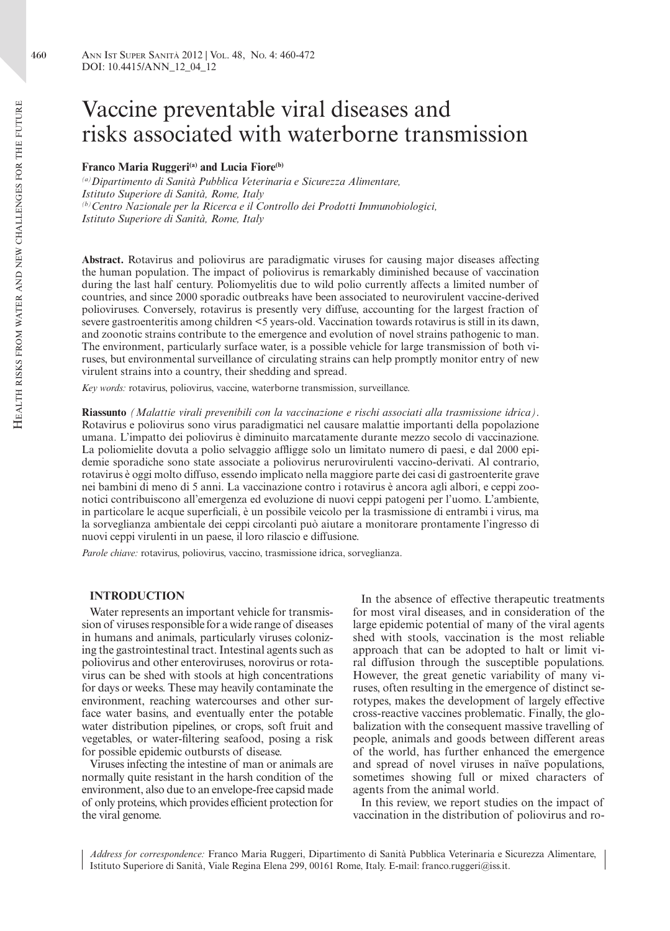# Vaccine preventable viral diseases and risks associated with waterborne transmission

## Franco Maria Ruggeri<sup>(a)</sup> and Lucia Fiore<sup>(b)</sup>

*(a)Dipartimento di Sanità Pubblica Veterinaria e Sicurezza Alimentare, Istituto Superiore di Sanità, Rome, Italy (b)Centro Nazionale per la Ricerca e il Controllo dei Prodotti Immunobiologici, Istituto Superiore di Sanità, Rome, Italy*

**Abstract.** Rotavirus and poliovirus are paradigmatic viruses for causing major diseases affecting the human population. The impact of poliovirus is remarkably diminished because of vaccination during the last half century. Poliomyelitis due to wild polio currently affects a limited number of countries, and since 2000 sporadic outbreaks have been associated to neurovirulent vaccine-derived polioviruses. Conversely, rotavirus is presently very diffuse, accounting for the largest fraction of severe gastroenteritis among children <5 years-old. Vaccination towards rotavirus is still in its dawn, and zoonotic strains contribute to the emergence and evolution of novel strains pathogenic to man. The environment, particularly surface water, is a possible vehicle for large transmission of both viruses, but environmental surveillance of circulating strains can help promptly monitor entry of new virulent strains into a country, their shedding and spread.

*Key words:* rotavirus, poliovirus, vaccine, waterborne transmission, surveillance.

**Riassunto** *(Malattie virali prevenibili con la vaccinazione e rischi associati alla trasmissione idrica)*. Rotavirus e poliovirus sono virus paradigmatici nel causare malattie importanti della popolazione umana. L'impatto dei poliovirus è diminuito marcatamente durante mezzo secolo di vaccinazione. La poliomielite dovuta a polio selvaggio affligge solo un limitato numero di paesi, e dal 2000 epidemie sporadiche sono state associate a poliovirus nerurovirulenti vaccino-derivati. Al contrario, rotavirus è oggi molto diffuso, essendo implicato nella maggiore parte dei casi di gastroenterite grave nei bambini di meno di 5 anni. La vaccinazione contro i rotavirus è ancora agli albori, e ceppi zoonotici contribuiscono all'emergenza ed evoluzione di nuovi ceppi patogeni per l'uomo. L'ambiente, in particolare le acque superficiali, è un possibile veicolo per la trasmissione di entrambi i virus, ma la sorveglianza ambientale dei ceppi circolanti può aiutare a monitorare prontamente l'ingresso di nuovi ceppi virulenti in un paese, il loro rilascio e diffusione.

*Parole chiave:* rotavirus, poliovirus, vaccino, trasmissione idrica, sorveglianza.

# **INTRODUCTION**

Water represents an important vehicle for transmission of viruses responsible for a wide range of diseases in humans and animals, particularly viruses colonizing the gastrointestinal tract. Intestinal agents such as poliovirus and other enteroviruses, norovirus or rotavirus can be shed with stools at high concentrations for days or weeks. These may heavily contaminate the environment, reaching watercourses and other surface water basins, and eventually enter the potable water distribution pipelines, or crops, soft fruit and vegetables, or water-filtering seafood, posing a risk for possible epidemic outbursts of disease.

Viruses infecting the intestine of man or animals are normally quite resistant in the harsh condition of the environment, also due to an envelope-free capsid made of only proteins, which provides efficient protection for the viral genome.

In the absence of effective therapeutic treatments for most viral diseases, and in consideration of the large epidemic potential of many of the viral agents shed with stools, vaccination is the most reliable approach that can be adopted to halt or limit viral diffusion through the susceptible populations. However, the great genetic variability of many viruses, often resulting in the emergence of distinct serotypes, makes the development of largely effective cross-reactive vaccines problematic. Finally, the globalization with the consequent massive travelling of people, animals and goods between different areas of the world, has further enhanced the emergence and spread of novel viruses in naïve populations, sometimes showing full or mixed characters of agents from the animal world.

In this review, we report studies on the impact of vaccination in the distribution of poliovirus and ro-

*Address for correspondence:* Franco Maria Ruggeri, Dipartimento di Sanità Pubblica Veterinaria e Sicurezza Alimentare, Istituto Superiore di Sanità, Viale Regina Elena 299, 00161 Rome, Italy. E-mail: franco.ruggeri@iss.it.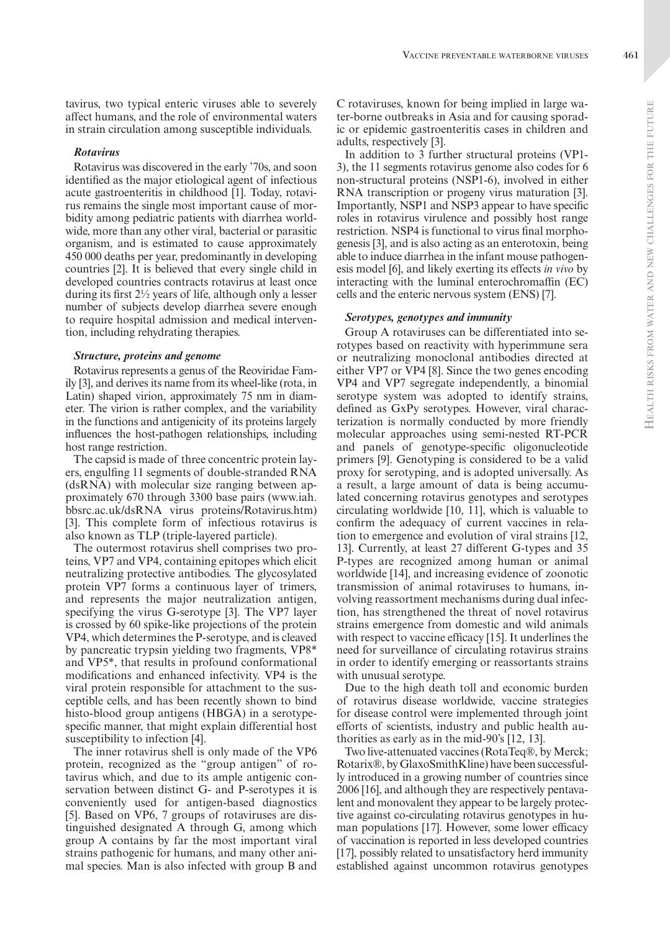tavirus, two typical enteric viruses able to severely affect humans, and the role of environmental waters in strain circulation among susceptible individuals.

## *Rotavirus*

Rotavirus was discovered in the early '70s, and soon identified as the major etiological agent of infectious acute gastroenteritis in childhood [1]. Today, rotavirus remains the single most important cause of morbidity among pediatric patients with diarrhea worldwide, more than any other viral, bacterial or parasitic organism, and is estimated to cause approximately 450 000 deaths per year, predominantly in developing countries [2]. It is believed that every single child in developed countries contracts rotavirus at least once during its first 2½ years of life, although only a lesser number of subjects develop diarrhea severe enough to require hospital admission and medical intervention, including rehydrating therapies.

## *Structure, proteins and genome*

Rotavirus represents a genus of the Reoviridae family [3], and derives its name from its wheel-like (rota, in Latin) shaped virion, approximately 75 nm in diameter. The virion is rather complex, and the variability in the functions and antigenicity of its proteins largely influences the host-pathogen relationships, including host range restriction.

The capsid is made of three concentric protein layers, engulfing 11 segments of double-stranded RNA (dsRNA) with molecular size ranging between approximately 670 through 3300 base pairs (www.iah. bbsrc.ac.uk/dsRNA virus proteins/Rotavirus.htm) [3]. This complete form of infectious rotavirus is also known as TLP (triple-layered particle).

The outermost rotavirus shell comprises two proteins, VP7 and VP4, containing epitopes which elicit neutralizing protective antibodies. The glycosylated protein VP7 forms a continuous layer of trimers, and represents the major neutralization antigen, specifying the virus G-serotype [3]. The VP7 layer is crossed by 60 spike-like projections of the protein VP4, which determines the P-serotype, and is cleaved by pancreatic trypsin yielding two fragments, VP8\* and VP5\*, that results in profound conformational modifications and enhanced infectivity. VP4 is the viral protein responsible for attachment to the susceptible cells, and has been recently shown to bind histo-blood group antigens (HBGA) in a serotypespecific manner, that might explain differential host susceptibility to infection [4].

The inner rotavirus shell is only made of the VP6 protein, recognized as the "group antigen" of rotavirus which, and due to its ample antigenic conservation between distinct G- and P-serotypes it is conveniently used for antigen-based diagnostics [5]. Based on VP6, 7 groups of rotaviruses are distinguished designated A through G, among which group A contains by far the most important viral strains pathogenic for humans, and many other animal species. Man is also infected with group B and C rotaviruses, known for being implied in large water-borne outbreaks in Asia and for causing sporadic or epidemic gastroenteritis cases in children and adults, respectively [3].

In addition to 3 further structural proteins (VP1- 3), the 11 segments rotavirus genome also codes for 6 non-structural proteins (NSP1-6), involved in either RNA transcription or progeny virus maturation [3]. Importantly, NSP1 and NSP3 appear to have specific roles in rotavirus virulence and possibly host range restriction. NSP4 is functional to virus final morphogenesis [3], and is also acting as an enterotoxin, being able to induce diarrhea in the infant mouse pathogenesis model [6], and likely exerting its effects *in vivo* by interacting with the luminal enterochromaffin (EC) cells and the enteric nervous system (ENS) [7].

## *Serotypes, genotypes and immunity*

Group A rotaviruses can be differentiated into serotypes based on reactivity with hyperimmune sera or neutralizing monoclonal antibodies directed at either VP7 or VP4 [8]. Since the two genes encoding VP4 and VP7 segregate independently, a binomial serotype system was adopted to identify strains, defined as GxPy serotypes. However, viral characterization is normally conducted by more friendly molecular approaches using semi-nested RT-PCR and panels of genotype-specific oligonucleotide primers [9]. Genotyping is considered to be a valid proxy for serotyping, and is adopted universally. As a result, a large amount of data is being accumulated concerning rotavirus genotypes and serotypes circulating worldwide [10, 11], which is valuable to confirm the adequacy of current vaccines in relation to emergence and evolution of viral strains [12, 13]. Currently, at least 27 different G-types and 35 P-types are recognized among human or animal worldwide [14], and increasing evidence of zoonotic transmission of animal rotaviruses to humans, involving reassortment mechanisms during dual infection, has strengthened the threat of novel rotavirus strains emergence from domestic and wild animals with respect to vaccine efficacy [15]. It underlines the need for surveillance of circulating rotavirus strains in order to identify emerging or reassortants strains with unusual serotype.

Due to the high death toll and economic burden of rotavirus disease worldwide, vaccine strategies for disease control were implemented through joint efforts of scientists, industry and public health authorities as early as in the mid-90's [12, 13].

Two live-attenuated vaccines (RotaTeq®, by Merck; Rotarix®, by GlaxoSmithKline) have been successfully introduced in a growing number of countries since 2006 [16], and although they are respectively pentavalent and monovalent they appear to be largely protective against co-circulating rotavirus genotypes in human populations [17]. However, some lower efficacy of vaccination is reported in less developed countries [17], possibly related to unsatisfactory herd immunity established against uncommon rotavirus genotypes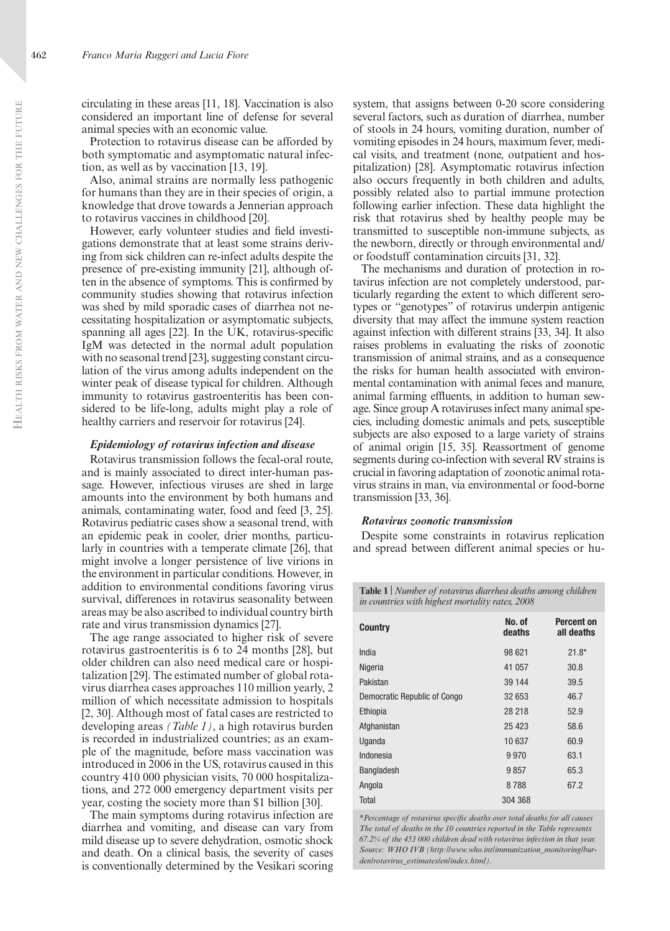circulating in these areas [11, 18]. Vaccination is also considered an important line of defense for several animal species with an economic value.

Protection to rotavirus disease can be afforded by both symptomatic and asymptomatic natural infection, as well as by vaccination [13, 19].

Also, animal strains are normally less pathogenic for humans than they are in their species of origin, a knowledge that drove towards a Jennerian approach to rotavirus vaccines in childhood [20].

However, early volunteer studies and field investigations demonstrate that at least some strains deriving from sick children can re-infect adults despite the presence of pre-existing immunity [21], although often in the absence of symptoms. This is confirmed by community studies showing that rotavirus infection was shed by mild sporadic cases of diarrhea not necessitating hospitalization or asymptomatic subjects, spanning all ages [22]. In the UK, rotavirus-specific IgM was detected in the normal adult population with no seasonal trend [23], suggesting constant circulation of the virus among adults independent on the winter peak of disease typical for children. Although immunity to rotavirus gastroenteritis has been considered to be life-long, adults might play a role of healthy carriers and reservoir for rotavirus [24].

## *Epidemiology of rotavirus infection and disease*

Rotavirus transmission follows the fecal-oral route, and is mainly associated to direct inter-human passage. However, infectious viruses are shed in large amounts into the environment by both humans and animals, contaminating water, food and feed [3, 25]. Rotavirus pediatric cases show a seasonal trend, with an epidemic peak in cooler, drier months, particularly in countries with a temperate climate [26], that might involve a longer persistence of live virions in the environment in particular conditions. However, in addition to environmental conditions favoring virus survival, differences in rotavirus seasonality between areas may be also ascribed to individual country birth rate and virus transmission dynamics [27].

The age range associated to higher risk of severe rotavirus gastroenteritis is 6 to 24 months [28], but older children can also need medical care or hospitalization [29]. The estimated number of global rotavirus diarrhea cases approaches 110 million yearly, 2 million of which necessitate admission to hospitals [2, 30]. Although most of fatal cases are restricted to developing areas *(Table 1)*, a high rotavirus burden is recorded in industrialized countries; as an example of the magnitude, before mass vaccination was introduced in 2006 in the US, rotavirus caused in this country 410 000 physician visits, 70 000 hospitalizations, and 272 000 emergency department visits per year, costing the society more than \$1 billion [30].

The main symptoms during rotavirus infection are diarrhea and vomiting, and disease can vary from mild disease up to severe dehydration, osmotic shock and death. On a clinical basis, the severity of cases is conventionally determined by the Vesikari scoring

system, that assigns between 0-20 score considering several factors, such as duration of diarrhea, number of stools in 24 hours, vomiting duration, number of vomiting episodes in 24 hours, maximum fever, medical visits, and treatment (none, outpatient and hospitalization) [28]. Asymptomatic rotavirus infection also occurs frequently in both children and adults, possibly related also to partial immune protection following earlier infection. These data highlight the risk that rotavirus shed by healthy people may be transmitted to susceptible non-immune subjects, as the newborn, directly or through environmental and/ or foodstuff contamination circuits [31, 32].

The mechanisms and duration of protection in rotavirus infection are not completely understood, particularly regarding the extent to which different serotypes or "genotypes" of rotavirus underpin antigenic diversity that may affect the immune system reaction against infection with different strains [33, 34]. It also raises problems in evaluating the risks of zoonotic transmission of animal strains, and as a consequence the risks for human health associated with environmental contamination with animal feces and manure, animal farming effluents, in addition to human sewage. Since group A rotaviruses infect many animal species, including domestic animals and pets, susceptible subjects are also exposed to a large variety of strains of animal origin [15, 35]. Reassortment of genome segments during co-infection with several RV strains is crucial in favoring adaptation of zoonotic animal rotavirus strains in man, via environmental or food-borne transmission [33, 36].

#### *Rotavirus zoonotic transmission*

Despite some constraints in rotavirus replication and spread between different animal species or hu-

**Table 1** | *Number of rotavirus diarrhea deaths among children in countries with highest mortality rates, 2008*

| <b>Country</b>               | No. of<br>deaths | Percent on<br>all deaths |
|------------------------------|------------------|--------------------------|
| India                        | 98 621           | $21.8*$                  |
| Nigeria                      | 41 057           | 30.8                     |
| Pakistan                     | 39 144           | 39.5                     |
| Democratic Republic of Congo | 32 653           | 46.7                     |
| Ethiopia                     | 28 218           | 52.9                     |
| Afghanistan                  | 25 4 23          | 58.6                     |
| Uganda                       | 10637            | 60.9                     |
| Indonesia                    | 9970             | 63.1                     |
| <b>Bangladesh</b>            | 9857             | 65.3                     |
| Angola                       | 8788             | 67.2                     |
| Total                        | 304 368          |                          |

*\*Percentage of rotavirus specific deaths over total deaths for all causes The total of deaths in the 10 countries reported in the Table represents 67.2% of the 453 000 children dead with rotavirus infection in that year. Source: WHO IVB (http://www.who.int/immunization\_monitoring/burden/rotavirus\_estimates/en/index.html).*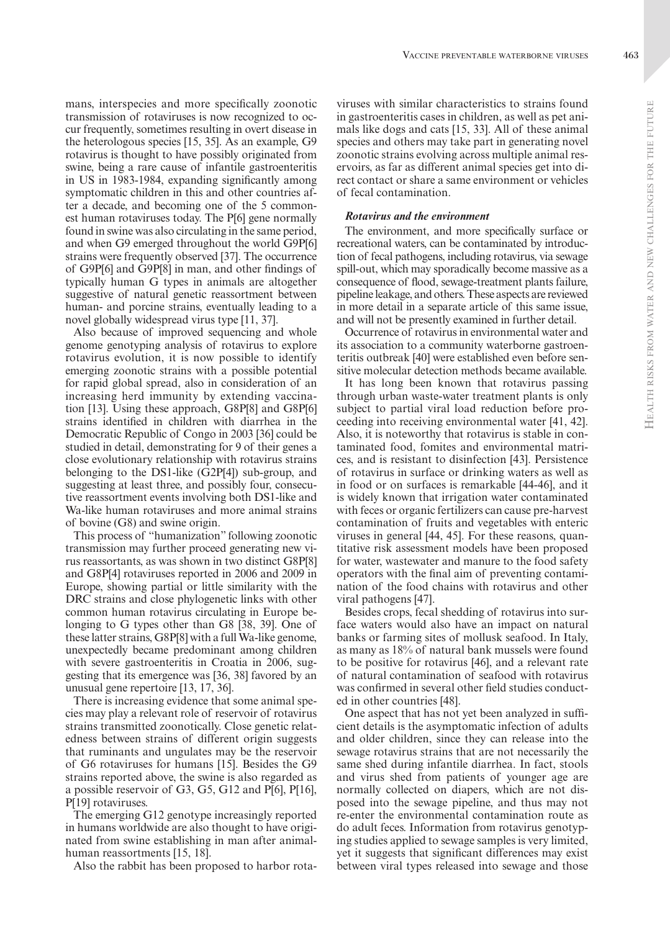mans, interspecies and more specifically zoonotic transmission of rotaviruses is now recognized to occur frequently, sometimes resulting in overt disease in the heterologous species [15, 35]. As an example, G9 rotavirus is thought to have possibly originated from swine, being a rare cause of infantile gastroenteritis in US in 1983-1984, expanding significantly among symptomatic children in this and other countries after a decade, and becoming one of the 5 commonest human rotaviruses today. The P[6] gene normally found in swine was also circulating in the same period, and when G9 emerged throughout the world G9P[6] strains were frequently observed [37]. The occurrence of G9P[6] and G9P[8] in man, and other findings of typically human G types in animals are altogether suggestive of natural genetic reassortment between human- and porcine strains, eventually leading to a novel globally widespread virus type [11, 37].

Also because of improved sequencing and whole genome genotyping analysis of rotavirus to explore rotavirus evolution, it is now possible to identify emerging zoonotic strains with a possible potential for rapid global spread, also in consideration of an increasing herd immunity by extending vaccination [13]. Using these approach, G8P[8] and G8P[6] strains identified in children with diarrhea in the Democratic Republic of Congo in 2003 [36] could be studied in detail, demonstrating for 9 of their genes a close evolutionary relationship with rotavirus strains belonging to the DS1-like (G2P[4]) sub-group, and suggesting at least three, and possibly four, consecutive reassortment events involving both DS1-like and Wa-like human rotaviruses and more animal strains of bovine (G8) and swine origin.

This process of "humanization" following zoonotic transmission may further proceed generating new virus reassortants, as was shown in two distinct G8P[8] and G8P[4] rotaviruses reported in 2006 and 2009 in Europe, showing partial or little similarity with the DRC strains and close phylogenetic links with other common human rotavirus circulating in Europe belonging to G types other than G8 [38, 39]. One of these latter strains, G8P[8] with a full Wa-like genome, unexpectedly became predominant among children with severe gastroenteritis in Croatia in 2006, suggesting that its emergence was [36, 38] favored by an unusual gene repertoire [13, 17, 36].

There is increasing evidence that some animal species may play a relevant role of reservoir of rotavirus strains transmitted zoonotically. Close genetic relatedness between strains of different origin suggests that ruminants and ungulates may be the reservoir of G6 rotaviruses for humans [15]. Besides the G9 strains reported above, the swine is also regarded as a possible reservoir of G3, G5, G12 and P[6], P[16], P[19] rotaviruses.

The emerging G12 genotype increasingly reported in humans worldwide are also thought to have originated from swine establishing in man after animalhuman reassortments [15, 18].

Also the rabbit has been proposed to harbor rota-

viruses with similar characteristics to strains found in gastroenteritis cases in children, as well as pet animals like dogs and cats [15, 33]. All of these animal species and others may take part in generating novel zoonotic strains evolving across multiple animal reservoirs, as far as different animal species get into direct contact or share a same environment or vehicles of fecal contamination.

# *Rotavirus and the environment*

The environment, and more specifically surface or recreational waters, can be contaminated by introduction of fecal pathogens, including rotavirus, via sewage spill-out, which may sporadically become massive as a consequence of flood, sewage-treatment plants failure, pipeline leakage, and others. These aspects are reviewed in more detail in a separate article of this same issue, and will not be presently examined in further detail.

Occurrence of rotavirus in environmental water and its association to a community waterborne gastroenteritis outbreak [40] were established even before sensitive molecular detection methods became available.

It has long been known that rotavirus passing through urban waste-water treatment plants is only subject to partial viral load reduction before proceeding into receiving environmental water [41, 42]. Also, it is noteworthy that rotavirus is stable in contaminated food, fomites and environmental matrices, and is resistant to disinfection [43]. Persistence of rotavirus in surface or drinking waters as well as in food or on surfaces is remarkable [44-46], and it is widely known that irrigation water contaminated with feces or organic fertilizers can cause pre-harvest contamination of fruits and vegetables with enteric viruses in general [44, 45]. For these reasons, quantitative risk assessment models have been proposed for water, wastewater and manure to the food safety operators with the final aim of preventing contamination of the food chains with rotavirus and other viral pathogens [47].

Besides crops, fecal shedding of rotavirus into surface waters would also have an impact on natural banks or farming sites of mollusk seafood. In Italy, as many as 18% of natural bank mussels were found to be positive for rotavirus [46], and a relevant rate of natural contamination of seafood with rotavirus was confirmed in several other field studies conducted in other countries [48].

One aspect that has not yet been analyzed in sufficient details is the asymptomatic infection of adults and older children, since they can release into the sewage rotavirus strains that are not necessarily the same shed during infantile diarrhea. In fact, stools and virus shed from patients of younger age are normally collected on diapers, which are not disposed into the sewage pipeline, and thus may not re-enter the environmental contamination route as do adult feces. Information from rotavirus genotyping studies applied to sewage samples is very limited, yet it suggests that significant differences may exist between viral types released into sewage and those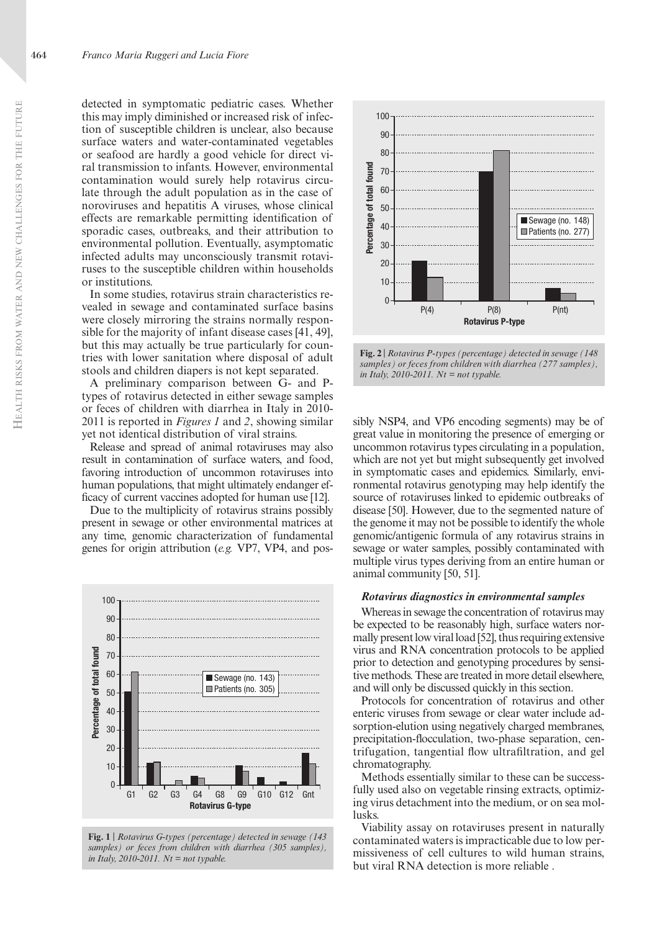detected in symptomatic pediatric cases. Whether this may imply diminished or increased risk of infection of susceptible children is unclear, also because surface waters and water-contaminated vegetables or seafood are hardly a good vehicle for direct viral transmission to infants. However, environmental contamination would surely help rotavirus circulate through the adult population as in the case of noroviruses and hepatitis A viruses, whose clinical effects are remarkable permitting identification of sporadic cases, outbreaks, and their attribution to environmental pollution. Eventually, asymptomatic infected adults may unconsciously transmit rotaviruses to the susceptible children within households or institutions.

In some studies, rotavirus strain characteristics revealed in sewage and contaminated surface basins were closely mirroring the strains normally responsible for the majority of infant disease cases [41, 49], but this may actually be true particularly for countries with lower sanitation where disposal of adult stools and children diapers is not kept separated.

A preliminary comparison between G- and Ptypes of rotavirus detected in either sewage samples or feces of children with diarrhea in Italy in 2010- 2011 is reported in *Figures 1* and *2*, showing similar yet not identical distribution of viral strains.

Release and spread of animal rotaviruses may also result in contamination of surface waters, and food, favoring introduction of uncommon rotaviruses into human populations, that might ultimately endanger efficacy of current vaccines adopted for human use [12].

Due to the multiplicity of rotavirus strains possibly present in sewage or other environmental matrices at any time, genomic characterization of fundamental genes for origin attribution (*e.g.* VP7, VP4, and pos-



**Fig. 1** | *Rotavirus G-types (percentage) detected in sewage (143 samples) or feces from children with diarrhea (305 samples), in Italy, 2010-2011. Nt = not typable.*



**Fig. 2** | *Rotavirus P-types (percentage) detected in sewage (148 samples) or feces from children with diarrhea (277 samples), in Italy, 2010-2011. Nt = not typable.*

sibly NSP4, and VP6 encoding segments) may be of great value in monitoring the presence of emerging or uncommon rotavirus types circulating in a population, which are not yet but might subsequently get involved in symptomatic cases and epidemics. Similarly, environmental rotavirus genotyping may help identify the source of rotaviruses linked to epidemic outbreaks of disease [50]. However, due to the segmented nature of the genome it may not be possible to identify the whole genomic/antigenic formula of any rotavirus strains in sewage or water samples, possibly contaminated with multiple virus types deriving from an entire human or animal community [50, 51].

#### *Rotavirus diagnostics in environmental samples*

Whereas in sewage the concentration of rotavirus may be expected to be reasonably high, surface waters normally present low viral load [52], thus requiring extensive virus and RNA concentration protocols to be applied prior to detection and genotyping procedures by sensitive methods. These are treated in more detail elsewhere, and will only be discussed quickly in this section.

Protocols for concentration of rotavirus and other enteric viruses from sewage or clear water include adsorption-elution using negatively charged membranes, precipitation-flocculation, two-phase separation, centrifugation, tangential flow ultrafiltration, and gel chromatography.

Methods essentially similar to these can be successfully used also on vegetable rinsing extracts, optimizing virus detachment into the medium, or on sea mollusks.

Viability assay on rotaviruses present in naturally contaminated waters is impracticable due to low permissiveness of cell cultures to wild human strains, but viral RNA detection is more reliable .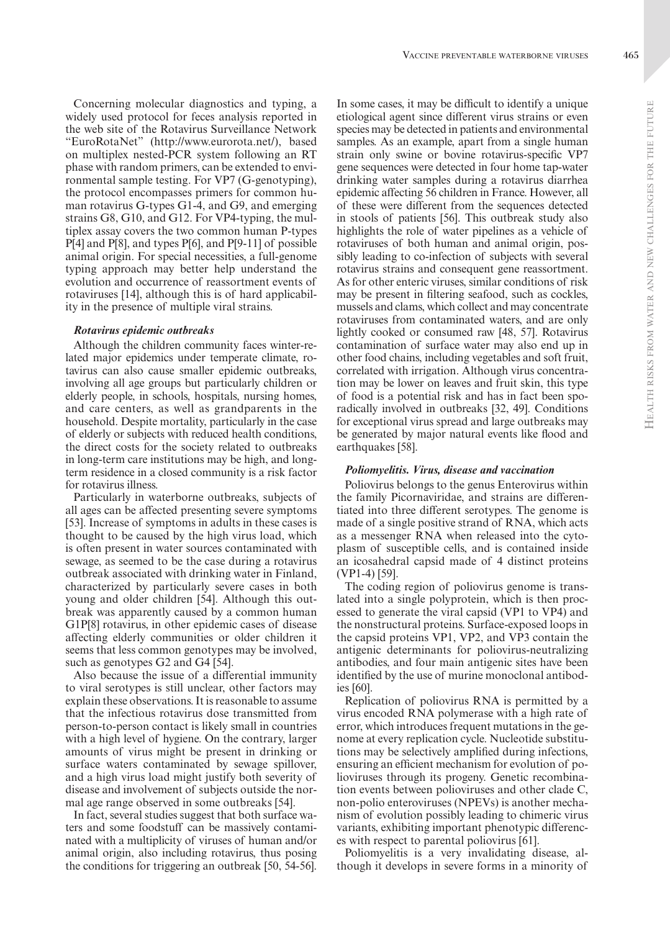Concerning molecular diagnostics and typing, a widely used protocol for feces analysis reported in the web site of the Rotavirus Surveillance Network "EuroRotaNet" (http://www.eurorota.net/), based on multiplex nested-PCR system following an RT phase with random primers, can be extended to environmental sample testing. For VP7 (G-genotyping), the protocol encompasses primers for common human rotavirus G-types G1-4, and G9, and emerging strains G8, G10, and G12. For VP4-typing, the multiplex assay covers the two common human P-types P[4] and P[8], and types P[6], and P[9-11] of possible animal origin. For special necessities, a full-genome typing approach may better help understand the evolution and occurrence of reassortment events of rotaviruses [14], although this is of hard applicability in the presence of multiple viral strains.

# *Rotavirus epidemic outbreaks*

Although the children community faces winter-related major epidemics under temperate climate, rotavirus can also cause smaller epidemic outbreaks, involving all age groups but particularly children or elderly people, in schools, hospitals, nursing homes, and care centers, as well as grandparents in the household. Despite mortality, particularly in the case of elderly or subjects with reduced health conditions, the direct costs for the society related to outbreaks in long-term care institutions may be high, and longterm residence in a closed community is a risk factor for rotavirus illness.

Particularly in waterborne outbreaks, subjects of all ages can be affected presenting severe symptoms [53]. Increase of symptoms in adults in these cases is thought to be caused by the high virus load, which is often present in water sources contaminated with sewage, as seemed to be the case during a rotavirus outbreak associated with drinking water in Finland, characterized by particularly severe cases in both young and older children [54]. Although this outbreak was apparently caused by a common human G1P[8] rotavirus, in other epidemic cases of disease affecting elderly communities or older children it seems that less common genotypes may be involved, such as genotypes G2 and G4 [54].

Also because the issue of a differential immunity to viral serotypes is still unclear, other factors may explain these observations. It is reasonable to assume that the infectious rotavirus dose transmitted from person-to-person contact is likely small in countries with a high level of hygiene. On the contrary, larger amounts of virus might be present in drinking or surface waters contaminated by sewage spillover, and a high virus load might justify both severity of disease and involvement of subjects outside the normal age range observed in some outbreaks [54].

In fact, several studies suggest that both surface waters and some foodstuff can be massively contaminated with a multiplicity of viruses of human and/or animal origin, also including rotavirus, thus posing the conditions for triggering an outbreak [50, 54-56].

In some cases, it may be difficult to identify a unique etiological agent since different virus strains or even species may be detected in patients and environmental samples. As an example, apart from a single human strain only swine or bovine rotavirus-specific VP7 gene sequences were detected in four home tap-water drinking water samples during a rotavirus diarrhea epidemic affecting 56 children in France. However, all of these were different from the sequences detected in stools of patients [56]. This outbreak study also highlights the role of water pipelines as a vehicle of rotaviruses of both human and animal origin, possibly leading to co-infection of subjects with several rotavirus strains and consequent gene reassortment. As for other enteric viruses, similar conditions of risk may be present in filtering seafood, such as cockles, mussels and clams, which collect and may concentrate rotaviruses from contaminated waters, and are only lightly cooked or consumed raw [48, 57]. Rotavirus contamination of surface water may also end up in other food chains, including vegetables and soft fruit, correlated with irrigation. Although virus concentration may be lower on leaves and fruit skin, this type of food is a potential risk and has in fact been sporadically involved in outbreaks [32, 49]. Conditions for exceptional virus spread and large outbreaks may be generated by major natural events like flood and earthquakes [58].

# *Poliomyelitis. Virus, disease and vaccination*

Poliovirus belongs to the genus Enterovirus within the family Picornaviridae, and strains are differentiated into three different serotypes. The genome is made of a single positive strand of RNA, which acts as a messenger RNA when released into the cytoplasm of susceptible cells, and is contained inside an icosahedral capsid made of 4 distinct proteins (VP1-4) [59].

The coding region of poliovirus genome is translated into a single polyprotein, which is then processed to generate the viral capsid (VP1 to VP4) and the nonstructural proteins. Surface-exposed loops in the capsid proteins VP1, VP2, and VP3 contain the antigenic determinants for poliovirus-neutralizing antibodies, and four main antigenic sites have been identified by the use of murine monoclonal antibodies [60].

Replication of poliovirus RNA is permitted by a virus encoded RNA polymerase with a high rate of error, which introduces frequent mutations in the genome at every replication cycle. Nucleotide substitutions may be selectively amplified during infections, ensuring an efficient mechanism for evolution of polioviruses through its progeny. Genetic recombination events between polioviruses and other clade C, non-polio enteroviruses (NPEVs) is another mechanism of evolution possibly leading to chimeric virus variants, exhibiting important phenotypic differences with respect to parental poliovirus [61].

Poliomyelitis is a very invalidating disease, although it develops in severe forms in a minority of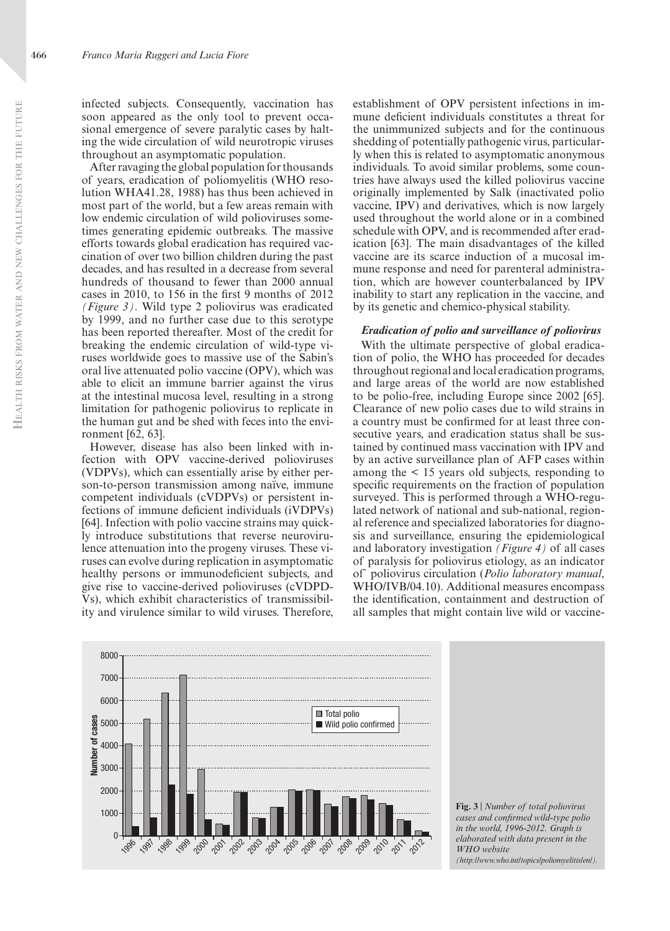infected subjects. Consequently, vaccination has soon appeared as the only tool to prevent occasional emergence of severe paralytic cases by halting the wide circulation of wild neurotropic viruses throughout an asymptomatic population.

After ravaging the global population for thousands of years, eradication of poliomyelitis (WHO resolution WHA41.28, 1988) has thus been achieved in most part of the world, but a few areas remain with low endemic circulation of wild polioviruses sometimes generating epidemic outbreaks. The massive efforts towards global eradication has required vaccination of over two billion children during the past decades, and has resulted in a decrease from several hundreds of thousand to fewer than 2000 annual cases in 2010, to 156 in the first 9 months of 2012 *(Figure 3)*. Wild type 2 poliovirus was eradicated by 1999, and no further case due to this serotype has been reported thereafter. Most of the credit for breaking the endemic circulation of wild-type viruses worldwide goes to massive use of the Sabin's oral live attenuated polio vaccine (OPV), which was able to elicit an immune barrier against the virus at the intestinal mucosa level, resulting in a strong limitation for pathogenic poliovirus to replicate in the human gut and be shed with feces into the environment [62, 63].

However, disease has also been linked with infection with OPV vaccine-derived polioviruses (VDPVs), which can essentially arise by either person-to-person transmission among naïve, immune competent individuals (cVDPVs) or persistent infections of immune deficient individuals (iVDPVs) [64]. Infection with polio vaccine strains may quickly introduce substitutions that reverse neurovirulence attenuation into the progeny viruses. These viruses can evolve during replication in asymptomatic healthy persons or immunodeficient subjects, and give rise to vaccine-derived polioviruses (cVDPD-Vs), which exhibit characteristics of transmissibility and virulence similar to wild viruses. Therefore,

establishment of OPV persistent infections in immune deficient individuals constitutes a threat for the unimmunized subjects and for the continuous shedding of potentially pathogenic virus, particularly when this is related to asymptomatic anonymous individuals. To avoid similar problems, some countries have always used the killed poliovirus vaccine originally implemented by Salk (inactivated polio vaccine, IPV) and derivatives, which is now largely used throughout the world alone or in a combined schedule with OPV, and is recommended after eradication [63]. The main disadvantages of the killed vaccine are its scarce induction of a mucosal immune response and need for parenteral administration, which are however counterbalanced by IPV inability to start any replication in the vaccine, and by its genetic and chemico-physical stability.

# *Eradication of polio and surveillance of poliovirus*

With the ultimate perspective of global eradication of polio, the WHO has proceeded for decades throughout regional and local eradication programs, and large areas of the world are now established to be polio-free, including Europe since 2002 [65]. Clearance of new polio cases due to wild strains in a country must be confirmed for at least three consecutive years, and eradication status shall be sustained by continued mass vaccination with IPV and by an active surveillance plan of AFP cases within among the < 15 years old subjects, responding to specific requirements on the fraction of population surveyed. This is performed through a WHO-regulated network of national and sub-national, regional reference and specialized laboratories for diagnosis and surveillance, ensuring the epidemiological and laboratory investigation *(Figure 4)* of all cases of paralysis for poliovirus etiology, as an indicator of` poliovirus circulation (*Polio laboratory manual*, WHO/IVB/04.10). Additional measures encompass the identification, containment and destruction of all samples that might contain live wild or vaccine-



**Fig. 3** | *Number of total poliovirus cases and confirmed wild-type polio in the world, 1996-2012. Graph is elaborated with data present in the WHO website*

*(http://www.who.int/topics/poliomyelitis/en/).*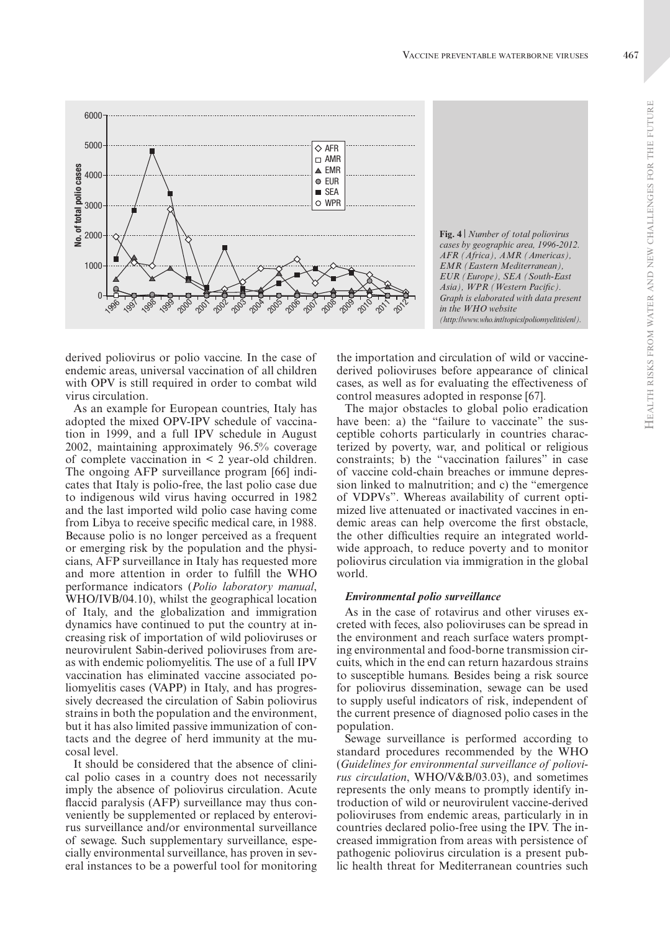



**Fig. 4** | *Number of total poliovirus cases by geographic area, 1996-2012. AFR (Africa), AMR (Americas), EMR (Eastern Mediterranean), EUR (Europe), SEA (South-East Asia), WPR (Western Pacific). Graph is elaborated with data present in the WHO website (http://www.who.int/topics/poliomyelitis/en/).*

derived poliovirus or polio vaccine. In the case of endemic areas, universal vaccination of all children with OPV is still required in order to combat wild virus circulation.

As an example for European countries, Italy has adopted the mixed OPV-IPV schedule of vaccination in 1999, and a full IPV schedule in August 2002, maintaining approximately 96.5% coverage of complete vaccination in < 2 year-old children. The ongoing AFP surveillance program [66] indicates that Italy is polio-free, the last polio case due to indigenous wild virus having occurred in 1982 and the last imported wild polio case having come from Libya to receive specific medical care, in 1988. Because polio is no longer perceived as a frequent or emerging risk by the population and the physicians, AFP surveillance in Italy has requested more and more attention in order to fulfill the WHO performance indicators (*Polio laboratory manual*, WHO/IVB/04.10), whilst the geographical location of Italy, and the globalization and immigration dynamics have continued to put the country at increasing risk of importation of wild polioviruses or neurovirulent Sabin-derived polioviruses from areas with endemic poliomyelitis. The use of a full IPV vaccination has eliminated vaccine associated poliomyelitis cases (VAPP) in Italy, and has progressively decreased the circulation of Sabin poliovirus strains in both the population and the environment, but it has also limited passive immunization of contacts and the degree of herd immunity at the mucosal level.

It should be considered that the absence of clinical polio cases in a country does not necessarily imply the absence of poliovirus circulation. Acute flaccid paralysis (AFP) surveillance may thus conveniently be supplemented or replaced by enterovirus surveillance and/or environmental surveillance of sewage. Such supplementary surveillance, especially environmental surveillance, has proven in several instances to be a powerful tool for monitoring the importation and circulation of wild or vaccinederived polioviruses before appearance of clinical cases, as well as for evaluating the effectiveness of control measures adopted in response [67].

The major obstacles to global polio eradication have been: a) the "failure to vaccinate" the susceptible cohorts particularly in countries characterized by poverty, war, and political or religious constraints; b) the "vaccination failures" in case of vaccine cold-chain breaches or immune depression linked to malnutrition; and c) the "emergence of VDPVs". Whereas availability of current optimized live attenuated or inactivated vaccines in endemic areas can help overcome the first obstacle, the other difficulties require an integrated worldwide approach, to reduce poverty and to monitor poliovirus circulation via immigration in the global world.

# *Environmental polio surveillance*

As in the case of rotavirus and other viruses excreted with feces, also polioviruses can be spread in the environment and reach surface waters prompting environmental and food-borne transmission circuits, which in the end can return hazardous strains to susceptible humans. Besides being a risk source for poliovirus dissemination, sewage can be used to supply useful indicators of risk, independent of the current presence of diagnosed polio cases in the population.

Sewage surveillance is performed according to standard procedures recommended by the WHO (*Guidelines for environmental surveillance of poliovirus circulation*, WHO/V&B/03.03), and sometimes represents the only means to promptly identify introduction of wild or neurovirulent vaccine-derived polioviruses from endemic areas, particularly in in countries declared polio-free using the IPV. The increased immigration from areas with persistence of pathogenic poliovirus circulation is a present public health threat for Mediterranean countries such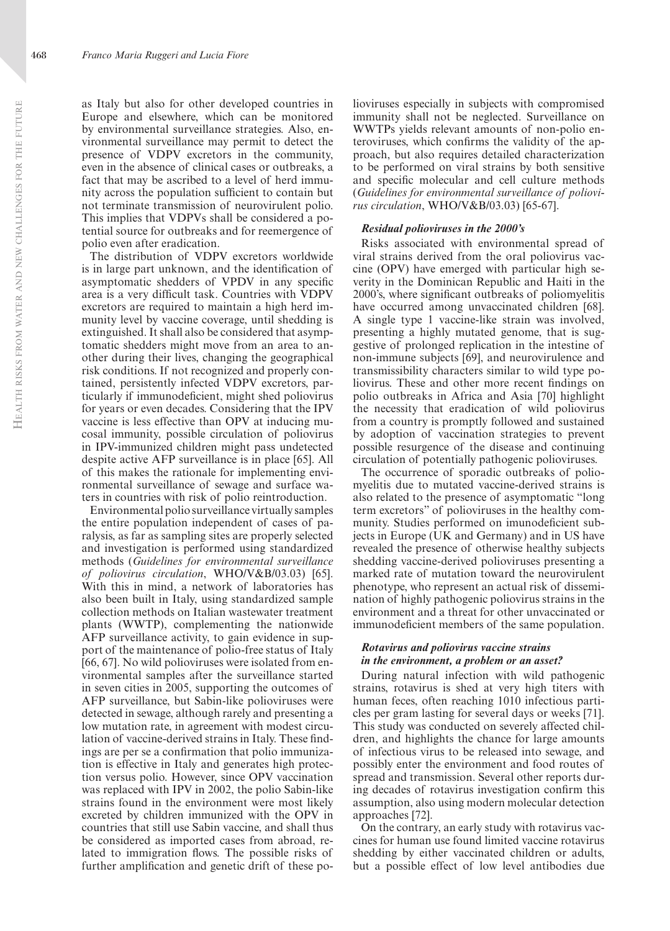as Italy but also for other developed countries in Europe and elsewhere, which can be monitored by environmental surveillance strategies. Also, environmental surveillance may permit to detect the presence of VDPV excretors in the community, even in the absence of clinical cases or outbreaks, a fact that may be ascribed to a level of herd immunity across the population sufficient to contain but not terminate transmission of neurovirulent polio. This implies that VDPVs shall be considered a potential source for outbreaks and for reemergence of polio even after eradication.

The distribution of VDPV excretors worldwide is in large part unknown, and the identification of asymptomatic shedders of VPDV in any specific area is a very difficult task. Countries with VDPV excretors are required to maintain a high herd immunity level by vaccine coverage, until shedding is extinguished. It shall also be considered that asymptomatic shedders might move from an area to another during their lives, changing the geographical risk conditions. If not recognized and properly contained, persistently infected VDPV excretors, particularly if immunodeficient, might shed poliovirus for years or even decades. Considering that the IPV vaccine is less effective than OPV at inducing mucosal immunity, possible circulation of poliovirus in IPV-immunized children might pass undetected despite active AFP surveillance is in place [65]. All of this makes the rationale for implementing environmental surveillance of sewage and surface waters in countries with risk of polio reintroduction.

Environmental polio surveillance virtually samples the entire population independent of cases of paralysis, as far as sampling sites are properly selected and investigation is performed using standardized methods (*Guidelines for environmental surveillance of poliovirus circulation*, WHO/V&B/03.03) [65]. with this in mind, a network of laboratories has also been built in Italy, using standardized sample collection methods on Italian wastewater treatment plants (WWTP), complementing the nationwide AFP surveillance activity, to gain evidence in support of the maintenance of polio-free status of Italy [66, 67]. No wild polioviruses were isolated from environmental samples after the surveillance started in seven cities in 2005, supporting the outcomes of AFP surveillance, but Sabin-like polioviruses were detected in sewage, although rarely and presenting a low mutation rate, in agreement with modest circulation of vaccine-derived strains in Italy. These findings are per se a confirmation that polio immunization is effective in Italy and generates high protection versus polio. However, since OPV vaccination was replaced with IPV in 2002, the polio Sabin-like strains found in the environment were most likely excreted by children immunized with the OPV in countries that still use Sabin vaccine, and shall thus be considered as imported cases from abroad, related to immigration flows. The possible risks of further amplification and genetic drift of these po-

lioviruses especially in subjects with compromised immunity shall not be neglected. Surveillance on WWTPs yields relevant amounts of non-polio enteroviruses, which confirms the validity of the approach, but also requires detailed characterization to be performed on viral strains by both sensitive and specific molecular and cell culture methods (*Guidelines for environmental surveillance of poliovirus circulation*, WHO/V&B/03.03) [65-67].

## *Residual polioviruses in the 2000's*

Risks associated with environmental spread of viral strains derived from the oral poliovirus vaccine (OPV) have emerged with particular high severity in the Dominican Republic and Haiti in the 2000's, where significant outbreaks of poliomyelitis have occurred among unvaccinated children [68]. A single type 1 vaccine-like strain was involved, presenting a highly mutated genome, that is suggestive of prolonged replication in the intestine of non-immune subjects [69], and neurovirulence and transmissibility characters similar to wild type poliovirus. These and other more recent findings on polio outbreaks in Africa and Asia [70] highlight the necessity that eradication of wild poliovirus from a country is promptly followed and sustained by adoption of vaccination strategies to prevent possible resurgence of the disease and continuing circulation of potentially pathogenic polioviruses.

The occurrence of sporadic outbreaks of poliomyelitis due to mutated vaccine-derived strains is also related to the presence of asymptomatic "long term excretors" of polioviruses in the healthy community. Studies performed on imunodeficient subjects in Europe (UK and Germany) and in US have revealed the presence of otherwise healthy subjects shedding vaccine-derived polioviruses presenting a marked rate of mutation toward the neurovirulent phenotype, who represent an actual risk of dissemination of highly pathogenic poliovirus strains in the environment and a threat for other unvaccinated or immunodeficient members of the same population.

# *Rotavirus and poliovirus vaccine strains in the environment, a problem or an asset?*

During natural infection with wild pathogenic strains, rotavirus is shed at very high titers with human feces, often reaching 1010 infectious particles per gram lasting for several days or weeks [71]. This study was conducted on severely affected children, and highlights the chance for large amounts of infectious virus to be released into sewage, and possibly enter the environment and food routes of spread and transmission. Several other reports during decades of rotavirus investigation confirm this assumption, also using modern molecular detection approaches [72].

On the contrary, an early study with rotavirus vaccines for human use found limited vaccine rotavirus shedding by either vaccinated children or adults, but a possible effect of low level antibodies due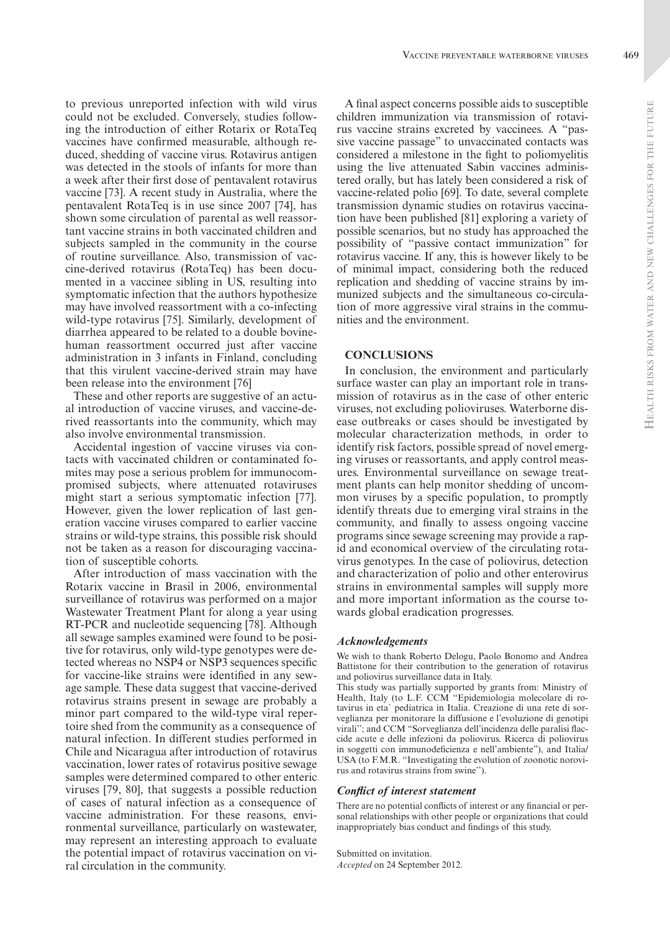**HEALTH** 

to previous unreported infection with wild virus could not be excluded. Conversely, studies following the introduction of either Rotarix or RotaTeq vaccines have confirmed measurable, although reduced, shedding of vaccine virus. Rotavirus antigen was detected in the stools of infants for more than a week after their first dose of pentavalent rotavirus vaccine [73]. A recent study in Australia, where the pentavalent RotaTeq is in use since 2007 [74], has shown some circulation of parental as well reassortant vaccine strains in both vaccinated children and subjects sampled in the community in the course of routine surveillance. Also, transmission of vaccine-derived rotavirus (RotaTeq) has been documented in a vaccinee sibling in US, resulting into symptomatic infection that the authors hypothesize may have involved reassortment with a co-infecting wild-type rotavirus [75]. Similarly, development of diarrhea appeared to be related to a double bovinehuman reassortment occurred just after vaccine administration in 3 infants in Finland, concluding that this virulent vaccine-derived strain may have been release into the environment [76]

These and other reports are suggestive of an actual introduction of vaccine viruses, and vaccine-derived reassortants into the community, which may also involve environmental transmission.

Accidental ingestion of vaccine viruses via contacts with vaccinated children or contaminated fomites may pose a serious problem for immunocompromised subjects, where attenuated rotaviruses might start a serious symptomatic infection [77]. However, given the lower replication of last generation vaccine viruses compared to earlier vaccine strains or wild-type strains, this possible risk should not be taken as a reason for discouraging vaccination of susceptible cohorts.

After introduction of mass vaccination with the Rotarix vaccine in Brasil in 2006, environmental surveillance of rotavirus was performed on a major Wastewater Treatment Plant for along a year using RT-PCR and nucleotide sequencing [78]. Although all sewage samples examined were found to be positive for rotavirus, only wild-type genotypes were detected whereas no NSP4 or NSP3 sequences specific for vaccine-like strains were identified in any sewage sample. These data suggest that vaccine-derived rotavirus strains present in sewage are probably a minor part compared to the wild-type viral repertoire shed from the community as a consequence of natural infection. In different studies performed in Chile and Nicaragua after introduction of rotavirus vaccination, lower rates of rotavirus positive sewage samples were determined compared to other enteric viruses [79, 80], that suggests a possible reduction of cases of natural infection as a consequence of vaccine administration. For these reasons, environmental surveillance, particularly on wastewater, may represent an interesting approach to evaluate the potential impact of rotavirus vaccination on viral circulation in the community.

A final aspect concerns possible aids to susceptible children immunization via transmission of rotavirus vaccine strains excreted by vaccinees. A "passive vaccine passage" to unvaccinated contacts was considered a milestone in the fight to poliomyelitis using the live attenuated Sabin vaccines administered orally, but has lately been considered a risk of vaccine-related polio [69]. To date, several complete transmission dynamic studies on rotavirus vaccination have been published [81] exploring a variety of possible scenarios, but no study has approached the possibility of "passive contact immunization" for rotavirus vaccine. If any, this is however likely to be of minimal impact, considering both the reduced replication and shedding of vaccine strains by immunized subjects and the simultaneous co-circulation of more aggressive viral strains in the communities and the environment.

# **CONCLUSIONS**

In conclusion, the environment and particularly surface waster can play an important role in transmission of rotavirus as in the case of other enteric viruses, not excluding polioviruses. Waterborne disease outbreaks or cases should be investigated by molecular characterization methods, in order to identify risk factors, possible spread of novel emerging viruses or reassortants, and apply control measures. Environmental surveillance on sewage treatment plants can help monitor shedding of uncommon viruses by a specific population, to promptly identify threats due to emerging viral strains in the community, and finally to assess ongoing vaccine programs since sewage screening may provide a rapid and economical overview of the circulating rotavirus genotypes. In the case of poliovirus, detection and characterization of polio and other enterovirus strains in environmental samples will supply more and more important information as the course towards global eradication progresses.

#### *Acknowledgements*

We wish to thank Roberto Delogu, Paolo Bonomo and Andrea Battistone for their contribution to the generation of rotavirus and poliovirus surveillance data in Italy.

This study was partially supported by grants from: Ministry of Health, Italy (to L.F. CCM ''Epidemiologia molecolare di rotavirus in eta` pediatrica in Italia. Creazione di una rete di sorveglianza per monitorare la diffusione e l'evoluzione di genotipi virali''; and CCM "Sorveglianza dell'incidenza delle paralisi flaccide acute e delle infezioni da poliovirus. Ricerca di poliovirus in soggetti con immunodeficienza e nell'ambiente"), and Italia/ USA (to F.M.R. ''Investigating the evolution of zoonotic norovirus and rotavirus strains from swine'').

#### *Conflict of interest statement*

There are no potential conflicts of interest or any financial or personal relationships with other people or organizations that could inappropriately bias conduct and findings of this study.

Submitted on invitation. *Accepted* on 24 September 2012.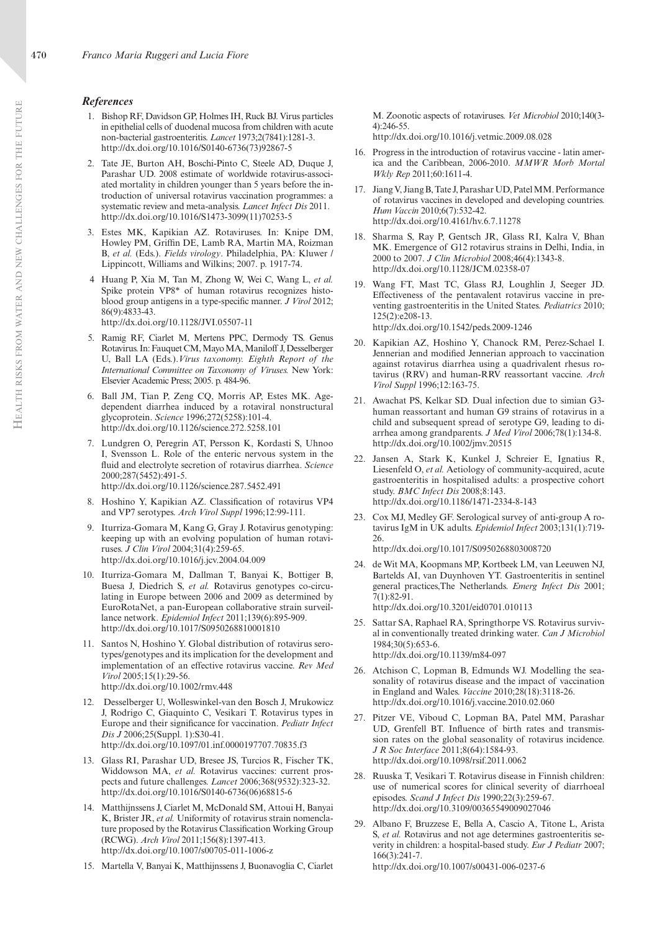# *References*

- 1. Bishop RF, Davidson GP, Holmes IH, Ruck BJ. Virus particles in epithelial cells of duodenal mucosa from children with acute non-bacterial gastroenteritis. *Lancet* 1973;2(7841):1281-3. http://dx.doi.org/10.1016/S0140-6736(73)92867-5
- 2. Tate JE, Burton AH, Boschi-Pinto C, Steele AD, Duque J, Parashar UD. 2008 estimate of worldwide rotavirus-associated mortality in children younger than 5 years before the introduction of universal rotavirus vaccination programmes: a systematic review and meta-analysis. *Lancet Infect Dis* 2011. http://dx.doi.org/10.1016/S1473-3099(11)70253-5
- 3. Estes MK, Kapikian AZ. Rotaviruses. In: Knipe DM, Howley PM, Griffin DE, Lamb RA, Martin MA, Roizman B, *et al.* (Eds.). *Fields virology*. Philadelphia, PA: Kluwer / Lippincott, Williams and Wilkins; 2007. p. 1917-74.
- 4 Huang P, Xia M, Tan M, Zhong W, Wei C, Wang L, *et al.* Spike protein VP8\* of human rotavirus recognizes histoblood group antigens in a type-specific manner. *J Virol* 2012; 86(9):4833-43.

http://dx.doi.org/10.1128/JVI.05507-11

- 5. Ramig RF, Ciarlet M, Mertens PPC, Dermody TS. Genus Rotavirus. In: Fauquet CM, Mayo MA, Maniloff J, Desselberger U, Ball LA (Eds.).*Virus taxonomy. Eighth Report of the International Committee on Taxonomy of Viruses.* New York: Elsevier Academic Press; 2005. p. 484-96.
- 6. Ball JM, Tian P, Zeng CQ, Morris AP, Estes MK. Agedependent diarrhea induced by a rotaviral nonstructural glycoprotein. *Science* 1996;272(5258):101-4. http://dx.doi.org/10.1126/science.272.5258.101
- 7. Lundgren O, Peregrin AT, Persson K, Kordasti S, Uhnoo I, Svensson L. Role of the enteric nervous system in the fluid and electrolyte secretion of rotavirus diarrhea. *Science* 2000;287(5452):491-5.

http://dx.doi.org/10.1126/science.287.5452.491

- 8. Hoshino Y, Kapikian AZ. Classification of rotavirus VP4 and VP7 serotypes. *Arch Virol Suppl* 1996;12:99-111.
- 9. Iturriza-Gomara M, Kang G, Gray J. Rotavirus genotyping: keeping up with an evolving population of human rotaviruses. *J Clin Virol* 2004;31(4):259-65. http://dx.doi.org/10.1016/j.jcv.2004.04.009
- 10. Iturriza-Gomara M, Dallman T, Banyai K, Bottiger B, Buesa J, Diedrich S, *et al.* Rotavirus genotypes co-circulating in Europe between 2006 and 2009 as determined by EuroRotaNet, a pan-European collaborative strain surveillance network. *Epidemiol Infect* 2011;139(6):895-909. http://dx.doi.org/10.1017/S0950268810001810
- 11. Santos N, Hoshino Y. Global distribution of rotavirus serotypes/genotypes and its implication for the development and implementation of an effective rotavirus vaccine. *Rev Med Virol* 2005;15(1):29-56. http://dx.doi.org/10.1002/rmv.448
- 12. Desselberger U, Wolleswinkel-van den Bosch J, Mrukowicz J, Rodrigo C, Giaquinto C, Vesikari T. Rotavirus types in Europe and their significance for vaccination. *Pediatr Infect Dis J* 2006;25(Suppl. 1):S30-41. http://dx.doi.org/10.1097/01.inf.0000197707.70835.f3
- 13. Glass RI, Parashar UD, Bresee JS, Turcios R, Fischer TK, Widdowson MA, *et al.* Rotavirus vaccines: current prospects and future challenges. *Lancet* 2006;368(9532):323-32. http://dx.doi.org/10.1016/S0140-6736(06)68815-6
- 14. Matthijnssens J, Ciarlet M, McDonald SM, Attoui H, Banyai K, Brister JR, *et al.* Uniformity of rotavirus strain nomenclature proposed by the Rotavirus Classification Working Group (RCWG). *Arch Virol* 2011;156(8):1397-413. http://dx.doi.org/10.1007/s00705-011-1006-z
- 15. Martella V, Banyai K, Matthijnssens J, Buonavoglia C, Ciarlet

M. Zoonotic aspects of rotaviruses. *Vet Microbiol* 2010;140(3- 4):246-55.

http://dx.doi.org/10.1016/j.vetmic.2009.08.028

- 16. Progress in the introduction of rotavirus vaccine latin america and the Caribbean, 2006-2010. *MMWR Morb Mortal Wkly Rep* 2011;60:1611-4.
- 17. Jiang V, Jiang B, Tate J, Parashar UD, Patel MM. Performance of rotavirus vaccines in developed and developing countries. *Hum Vaccin* 2010;6(7):532-42. http://dx.doi.org/10.4161/hv.6.7.11278
- 18. Sharma S, Ray P, Gentsch JR, Glass RI, Kalra V, Bhan MK. Emergence of G12 rotavirus strains in Delhi, India, in 2000 to 2007. *J Clin Microbiol* 2008;46(4):1343-8. http://dx.doi.org/10.1128/JCM.02358-07
- 19. Wang FT, Mast TC, Glass RJ, Loughlin J, Seeger JD. Effectiveness of the pentavalent rotavirus vaccine in preventing gastroenteritis in the United States. *Pediatrics* 2010; 125(2):e208-13. http://dx.doi.org/10.1542/peds.2009-1246
- 20. Kapikian AZ, Hoshino Y, Chanock RM, Perez-Schael I. Jennerian and modified Jennerian approach to vaccination against rotavirus diarrhea using a quadrivalent rhesus rotavirus (RRV) and human-RRV reassortant vaccine. *Arch Virol Suppl* 1996;12:163-75.
- 21. Awachat PS, Kelkar SD. Dual infection due to simian G3 human reassortant and human G9 strains of rotavirus in a child and subsequent spread of serotype G9, leading to diarrhea among grandparents. *J Med Virol* 2006;78(1):134-8. http://dx.doi.org/10.1002/jmv.20515
- 22. Jansen A, Stark K, Kunkel J, Schreier E, Ignatius R, Liesenfeld O, *et al.* Aetiology of community-acquired, acute gastroenteritis in hospitalised adults: a prospective cohort study. *BMC Infect Dis* 2008;8:143. http://dx.doi.org/10.1186/1471-2334-8-143
- 23. Cox MJ, Medley GF. Serological survey of anti-group A rotavirus IgM in UK adults. *Epidemiol Infect* 2003;131(1):719- 26.

http://dx.doi.org/10.1017/S0950268803008720

- 24. de Wit MA, Koopmans MP, Kortbeek LM, van Leeuwen NJ, Bartelds AI, van Duynhoven YT. Gastroenteritis in sentinel general practices,The Netherlands. *Emerg Infect Dis* 2001; 7(1):82-91. http://dx.doi.org/10.3201/eid0701.010113
- 25. Sattar SA, Raphael RA, Springthorpe VS. Rotavirus survival in conventionally treated drinking water. *Can J Microbiol* 1984;30(5):653-6. http://dx.doi.org/10.1139/m84-097
- 26. Atchison C, Lopman B, Edmunds WJ. Modelling the seasonality of rotavirus disease and the impact of vaccination in England and Wales. *Vaccine* 2010;28(18):3118-26. http://dx.doi.org/10.1016/j.vaccine.2010.02.060
- 27. Pitzer VE, Viboud C, Lopman BA, Patel MM, Parashar UD, Grenfell BT. Influence of birth rates and transmission rates on the global seasonality of rotavirus incidence. *J R Soc Interface* 2011;8(64):1584-93. http://dx.doi.org/10.1098/rsif.2011.0062
- 28. Ruuska T, Vesikari T. Rotavirus disease in Finnish children: use of numerical scores for clinical severity of diarrhoeal episodes. *Scand J Infect Dis* 1990;22(3):259-67. http://dx.doi.org/10.3109/00365549009027046
- 29. Albano F, Bruzzese E, Bella A, Cascio A, Titone L, Arista S, *et al.* Rotavirus and not age determines gastroenteritis severity in children: a hospital-based study. *Eur J Pediatr* 2007; 166(3):241-7.

Healt h

risks from

water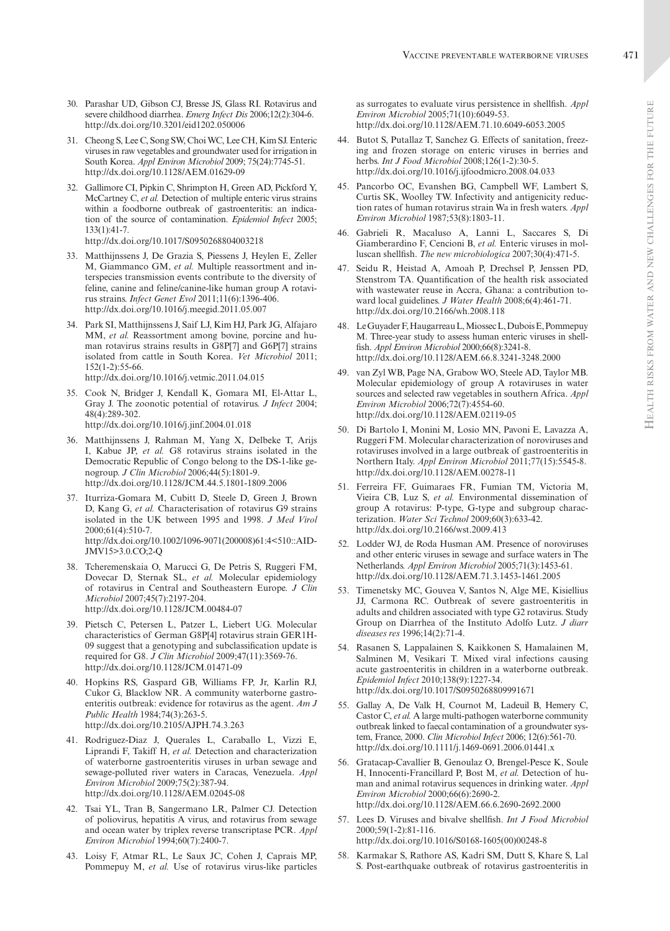- 30. Parashar UD, Gibson CJ, Bresse JS, Glass RI. Rotavirus and severe childhood diarrhea. *Emerg Infect Dis* 2006;12(2):304-6. http://dx.doi.org/10.3201/eid1202.050006
- 31. Cheong S, Lee C, Song SW, Choi WC, Lee CH, Kim SJ. Enteric viruses in raw vegetables and groundwater used for irrigation in South Korea. *Appl Environ Microbiol* 2009; 75(24):7745-51. http://dx.doi.org/10.1128/AEM.01629-09
- 32. Gallimore CI, Pipkin C, Shrimpton H, Green AD, Pickford Y, McCartney C, *et al.* Detection of multiple enteric virus strains within a foodborne outbreak of gastroenteritis: an indication of the source of contamination. *Epidemiol Infect* 2005; 133(1):41-7.

http://dx.doi.org/10.1017/S0950268804003218

- 33. Matthijnssens J, De Grazia S, Piessens J, Heylen E, Zeller M, Giammanco GM, *et al.* Multiple reassortment and interspecies transmission events contribute to the diversity of feline, canine and feline/canine-like human group A rotavirus strains. *Infect Genet Evol* 2011;11(6):1396-406. http://dx.doi.org/10.1016/j.meegid.2011.05.007
- 34. Park SI, Matthijnssens J, Saif LJ, Kim HJ, Park JG, Alfajaro MM, *et al.* Reassortment among bovine, porcine and human rotavirus strains results in G8P[7] and G6P[7] strains isolated from cattle in South Korea. *Vet Microbiol* 2011; 152(1-2):55-66. http://dx.doi.org/10.1016/j.vetmic.2011.04.015
- 35. Cook N, Bridger J, Kendall K, Gomara MI, El-Attar L, Gray J. The zoonotic potential of rotavirus. *J Infect* 2004; 48(4):289-302.

http://dx.doi.org/10.1016/j.jinf.2004.01.018

- 36. Matthijnssens J, Rahman M, Yang X, Delbeke T, Arijs I, Kabue JP, *et al.* G8 rotavirus strains isolated in the Democratic Republic of Congo belong to the DS-1-like genogroup. *J Clin Microbiol* 2006;44(5):1801-9. http://dx.doi.org/10.1128/JCM.44.5.1801-1809.2006
- 37. Iturriza-Gomara M, Cubitt D, Steele D, Green J, Brown D, Kang G, *et al.* Characterisation of rotavirus G9 strains isolated in the UK between 1995 and 1998. *J Med Virol*  2000;61(4):510-7. http://dx.doi.org/10.1002/1096-9071(200008)61:4<510::AID-JMV15>3.0.CO;2-Q
- 38. Tcheremenskaia O, Marucci G, De Petris S, Ruggeri FM, Dovecar D, Sternak SL, *et al.* Molecular epidemiology of rotavirus in Central and Southeastern Europe. *J Clin Microbiol* 2007;45(7):2197-204. http://dx.doi.org/10.1128/JCM.00484-07
- 39. Pietsch C, Petersen L, Patzer L, Liebert UG. Molecular characteristics of German G8P[4] rotavirus strain GER1H-09 suggest that a genotyping and subclassification update is required for G8. *J Clin Microbiol* 2009;47(11):3569-76. http://dx.doi.org/10.1128/JCM.01471-09
- 40. Hopkins RS, Gaspard GB, Williams FP, Jr, Karlin RJ, Cukor G, Blacklow NR. A community waterborne gastroenteritis outbreak: evidence for rotavirus as the agent. *Am J Public Health* 1984;74(3):263-5. http://dx.doi.org/10.2105/AJPH.74.3.263
- 41. Rodriguez-Diaz J, Querales L, Caraballo L, Vizzi E, Liprandi F, Takiff H, *et al.* Detection and characterization of waterborne gastroenteritis viruses in urban sewage and sewage-polluted river waters in Caracas, Venezuela. *Appl Environ Microbiol* 2009;75(2):387-94. http://dx.doi.org/10.1128/AEM.02045-08
- 42. Tsai YL, Tran B, Sangermano LR, Palmer CJ. Detection of poliovirus, hepatitis A virus, and rotavirus from sewage and ocean water by triplex reverse transcriptase PCR. *Appl Environ Microbiol* 1994;60(7):2400-7.
- 43. Loisy F, Atmar RL, Le Saux JC, Cohen J, Caprais MP, Pommepuy M, *et al.* Use of rotavirus virus-like particles

as surrogates to evaluate virus persistence in shellfish. *Appl Environ Microbiol* 2005;71(10):6049-53. http://dx.doi.org/10.1128/AEM.71.10.6049-6053.2005

- 44. Butot S, Putallaz T, Sanchez G. Effects of sanitation, freezing and frozen storage on enteric viruses in berries and herbs. *Int J Food Microbiol* 2008;126(1-2):30-5. http://dx.doi.org/10.1016/j.ijfoodmicro.2008.04.033
- 45. Pancorbo OC, Evanshen BG, Campbell WF, Lambert S, Curtis SK, Woolley TW. Infectivity and antigenicity reduction rates of human rotavirus strain Wa in fresh waters. *Appl Environ Microbiol* 1987;53(8):1803-11.
- 46. Gabrieli R, Macaluso A, Lanni L, Saccares S, Di Giamberardino F, Cencioni B, *et al.* Enteric viruses in molluscan shellfish. *The new microbiologica* 2007;30(4):471-5.
- 47. Seidu R, Heistad A, Amoah P, Drechsel P, Jenssen PD, Stenstrom TA. Quantification of the health risk associated with wastewater reuse in Accra, Ghana: a contribution toward local guidelines. *J Water Health* 2008;6(4):461-71. http://dx.doi.org/10.2166/wh.2008.118
- 48. Le Guyader F, Haugarreau L, Miossec L, Dubois E, Pommepuy M. Three-year study to assess human enteric viruses in shellfish. *Appl Environ Microbiol* 2000;66(8):3241-8. http://dx.doi.org/10.1128/AEM.66.8.3241-3248.2000
- 49. van Zyl WB, Page NA, Grabow WO, Steele AD, Taylor MB. Molecular epidemiology of group A rotaviruses in water sources and selected raw vegetables in southern Africa. *Appl Environ Microbiol* 2006;72(7):4554-60. http://dx.doi.org/10.1128/AEM.02119-05
- 50. Di Bartolo I, Monini M, Losio MN, Pavoni E, Lavazza A, Ruggeri FM. Molecular characterization of noroviruses and rotaviruses involved in a large outbreak of gastroenteritis in Northern Italy. *Appl Environ Microbiol* 2011;77(15):5545-8. http://dx.doi.org/10.1128/AEM.00278-11
- 51. Ferreira FF, Guimaraes FR, Fumian TM, Victoria M, Vieira CB, Luz S, *et al.* Environmental dissemination of group A rotavirus: P-type, G-type and subgroup characterization. *Water Sci Technol* 2009;60(3):633-42. http://dx.doi.org/10.2166/wst.2009.413
- 52. Lodder WJ, de Roda Husman AM. Presence of noroviruses and other enteric viruses in sewage and surface waters in The Netherlands. *Appl Environ Microbiol* 2005;71(3):1453-61. http://dx.doi.org/10.1128/AEM.71.3.1453-1461.2005
- 53. Timenetsky MC, Gouvea V, Santos N, Alge ME, Kisiellius JJ, Carmona RC. Outbreak of severe gastroenteritis in adults and children associated with type G2 rotavirus. Study Group on Diarrhea of the Instituto Adolfo Lutz. *J diarr diseases res* 1996;14(2):71-4.
- 54. Rasanen S, Lappalainen S, Kaikkonen S, Hamalainen M, Salminen M, Vesikari T. Mixed viral infections causing acute gastroenteritis in children in a waterborne outbreak. *Epidemiol Infect* 2010;138(9):1227-34. http://dx.doi.org/10.1017/S0950268809991671
- 55. Gallay A, De Valk H, Cournot M, Ladeuil B, Hemery C, Castor C, *et al.* A large multi-pathogen waterborne community outbreak linked to faecal contamination of a groundwater system, France, 2000. *Clin Microbiol Infect* 2006; 12(6):561-70. http://dx.doi.org/10.1111/j.1469-0691.2006.01441.x
- 56. Gratacap-Cavallier B, Genoulaz O, Brengel-Pesce K, Soule H, Innocenti-Francillard P, Bost M, *et al.* Detection of human and animal rotavirus sequences in drinking water. *Appl Environ Microbiol* 2000;66(6):2690-2. http://dx.doi.org/10.1128/AEM.66.6.2690-2692.2000
- 57. Lees D. Viruses and bivalve shellfish. *Int J Food Microbiol*  2000;59(1-2):81-116. http://dx.doi.org/10.1016/S0168-1605(00)00248-8
- 58. Karmakar S, Rathore AS, Kadri SM, Dutt S, Khare S, Lal S. Post-earthquake outbreak of rotavirus gastroenteritis in